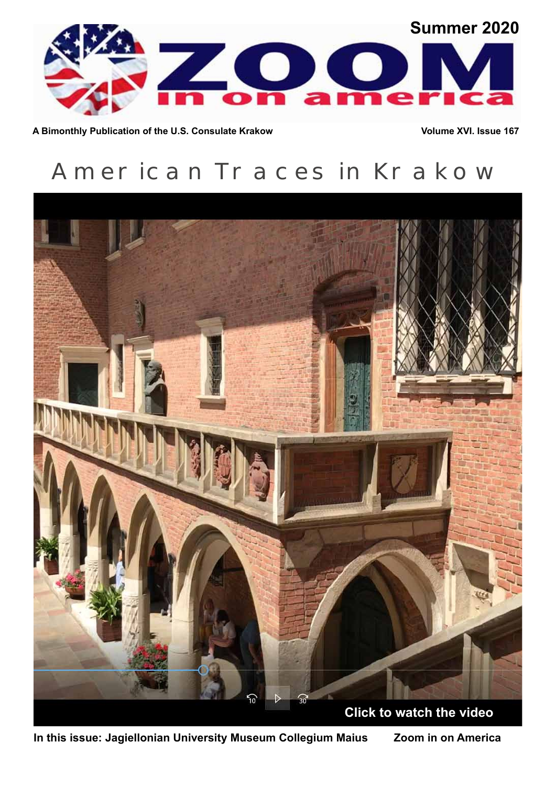

A Bimonthly Publication of the U.S. Consulate Krakow **Volume XVI.** Issue 167

# American Traces in Krakow



**In this issue: Jagiellonian University Museum Collegium Maius Zoom in on America**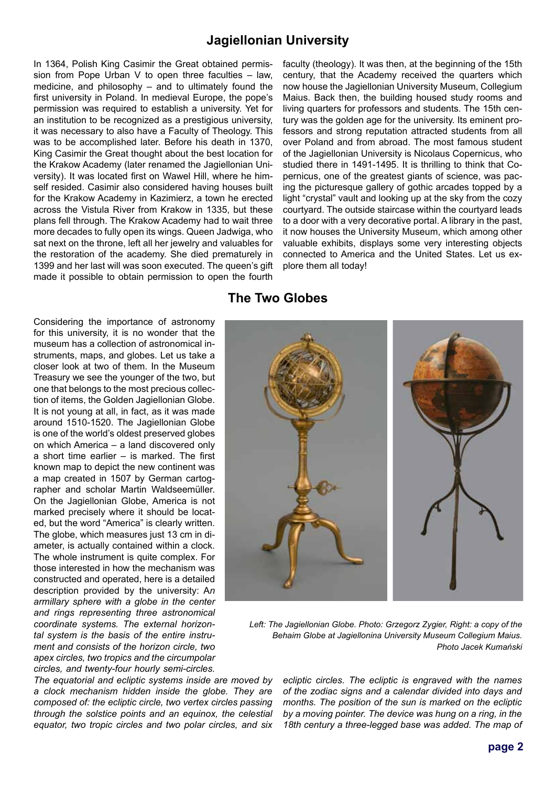## **Jagiellonian University**

In 1364, Polish King Casimir the Great obtained permission from Pope Urban V to open three faculties – law, medicine, and philosophy – and to ultimately found the first university in Poland. In medieval Europe, the pope's permission was required to establish a university. Yet for an institution to be recognized as a prestigious university, it was necessary to also have a Faculty of Theology. This was to be accomplished later. Before his death in 1370, King Casimir the Great thought about the best location for the Krakow Academy (later renamed the Jagiellonian University). It was located first on Wawel Hill, where he himself resided. Casimir also considered having houses built for the Krakow Academy in Kazimierz, a town he erected across the Vistula River from Krakow in 1335, but these plans fell through. The Krakow Academy had to wait three more decades to fully open its wings. Queen Jadwiga, who sat next on the throne, left all her jewelry and valuables for the restoration of the academy. She died prematurely in 1399 and her last will was soon executed. The queen's gift made it possible to obtain permission to open the fourth

faculty (theology). It was then, at the beginning of the 15th century, that the Academy received the quarters which now house the Jagiellonian University Museum, Collegium Maius. Back then, the building housed study rooms and living quarters for professors and students. The 15th century was the golden age for the university. Its eminent professors and strong reputation attracted students from all over Poland and from abroad. The most famous student of the Jagiellonian University is Nicolaus Copernicus, who studied there in 1491-1495. It is thrilling to think that Copernicus, one of the greatest giants of science, was pacing the picturesque gallery of gothic arcades topped by a light "crystal" vault and looking up at the sky from the cozy courtyard. The outside staircase within the courtyard leads to a door with a very decorative portal. A library in the past, it now houses the University Museum, which among other valuable exhibits, displays some very interesting objects connected to America and the United States. Let us explore them all today!

#### Considering the importance of astronomy for this university, it is no wonder that the museum has a collection of astronomical instruments, maps, and globes. Let us take a closer look at two of them. In the Museum Treasury we see the younger of the two, but one that belongs to the most precious collection of items, the Golden Jagiellonian Globe. It is not young at all, in fact, as it was made around 1510-1520. The Jagiellonian Globe is one of the world's oldest preserved globes on which America – a land discovered only a short time earlier – is marked. The first known map to depict the new continent was a map created in 1507 by German cartographer and scholar Martin Waldseemüller. On the Jagiellonian Globe, America is not marked precisely where it should be located, but the word "America" is clearly written. The globe, which measures just 13 cm in diameter, is actually contained within a clock. The whole instrument is quite complex. For those interested in how the mechanism was constructed and operated, here is a detailed description provided by the university: A*n armillary sphere with a globe in the center and rings representing three astronomical coordinate systems. The external horizontal system is the basis of the entire instrument and consists of the horizon circle, two apex circles, two tropics and the circumpolar circles, and twenty-four hourly semi-circles.*

*The equatorial and ecliptic systems inside are moved by a clock mechanism hidden inside the globe. They are composed of: the ecliptic circle, two vertex circles passing through the solstice points and an equinox, the celestial equator, two tropic circles and two polar circles, and six* 

#### **The Two Globes**



Left: The Jagiellonian Globe. Photo: Grzegorz Zygier, Right: a copy of the *Behaim Globe at Jagiellonina University Museum Collegium Maius. Photo Jacek Kumański* 

*ecliptic circles. The ecliptic is engraved with the names of the zodiac signs and a calendar divided into days and months. The position of the sun is marked on the ecliptic by a moving pointer. The device was hung on a ring, in the 18th century a three-legged base was added. The map of*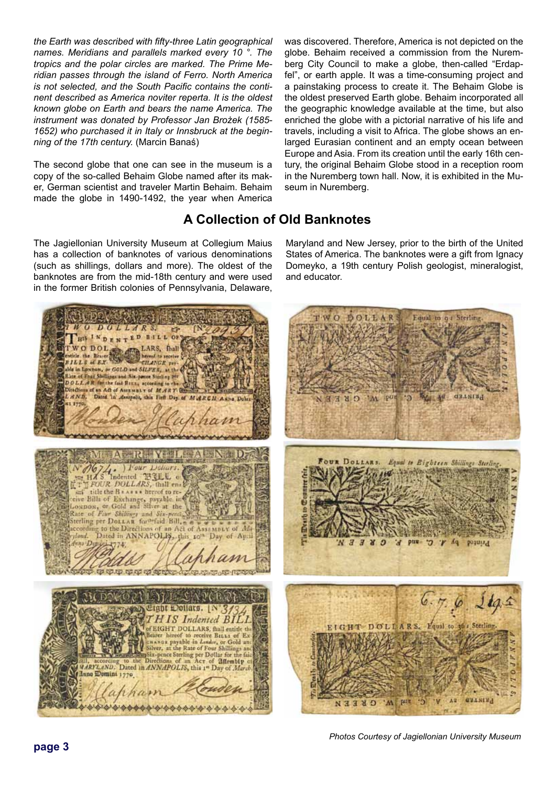*the Earth was described with fifty-three Latin geographical names. Meridians and parallels marked every 10 °. The tropics and the polar circles are marked. The Prime Meridian passes through the island of Ferro. North America is not selected, and the South Pacific contains the continent described as America noviter reperta. It is the oldest known globe on Earth and bears the name America. The instrument was donated by Professor Jan Brożek (1585- 1652) who purchased it in Italy or Innsbruck at the beginning of the 17th century.* (Marcin Banaś)

The second globe that one can see in the museum is a copy of the so-called Behaim Globe named after its maker, German scientist and traveler Martin Behaim. Behaim made the globe in 1490-1492, the year when America

was discovered. Therefore, America is not depicted on the globe. Behaim received a commission from the Nuremberg City Council to make a globe, then-called "Erdapfel", or earth apple. It was a time-consuming project and a painstaking process to create it. The Behaim Globe is the oldest preserved Earth globe. Behaim incorporated all the geographic knowledge available at the time, but also enriched the globe with a pictorial narrative of his life and travels, including a visit to Africa. The globe shows an enlarged Eurasian continent and an empty ocean between Europe and Asia. From its creation until the early 16th century, the original Behaim Globe stood in a reception room in the Nuremberg town hall. Now, it is exhibited in the Museum in Nuremberg.

# **A Collection of Old Banknotes**

The Jagiellonian University Museum at Collegium Maius has a collection of banknotes of various denominations (such as shillings, dollars and more). The oldest of the banknotes are from the mid-18th century and were used in the former British colonies of Pennsylvania, Delaware, Maryland and New Jersey, prior to the birth of the United States of America. The banknotes were a gift from Ignacy Domeyko, a 19th century Polish geologist, mineralogist, and educator.



*Photos Courtesy of Jagiellonian University Museum*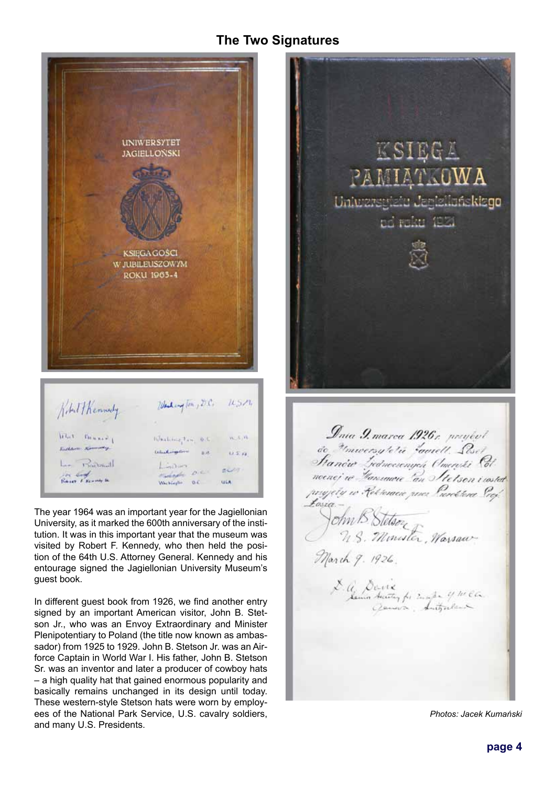## **The Two Signatures**



The year 1964 was an important year for the Jagiellonian University, as it marked the 600th anniversary of the institution. It was in this important year that the museum was visited by Robert F. Kennedy, who then held the position of the 64th U.S. Attorney General. Kennedy and his entourage signed the Jagiellonian University Museum's guest book.

In different guest book from 1926, we find another entry signed by an important American visitor, John B. Stetson Jr., who was an Envoy Extraordinary and Minister Plenipotentiary to Poland (the title now known as ambassador) from 1925 to 1929. John B. Stetson Jr. was an Airforce Captain in World War I. His father, John B. Stetson Sr. was an inventor and later a producer of cowboy hats – a high quality hat that gained enormous popularity and basically remains unchanged in its design until today. These western-style Stetson hats were worn by employees of the National Park Service, U.S. cavalry soldiers, and many U.S. Presidents.



*Photos: Jacek Kumański*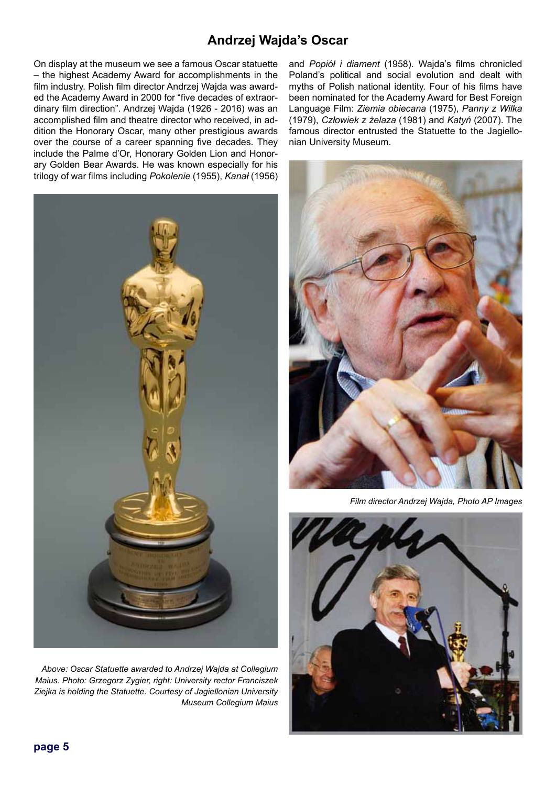# **Andrzej Wajda's Oscar**

On display at the museum we see a famous Oscar statuette – the highest Academy Award for accomplishments in the film industry. Polish film director Andrzej Wajda was awarded the Academy Award in 2000 for "five decades of extraordinary film direction". Andrzej Wajda (1926 - 2016) was an accomplished film and theatre director who received, in addition the Honorary Oscar, many other prestigious awards over the course of a career spanning five decades. They include the Palme d'Or, Honorary Golden Lion and Honorary Golden Bear Awards. He was known especially for his trilogy of war films including *Pokolenie* (1955), *Kanał* (1956)



*Above: Oscar Statuette awarded to Andrzej Wajda at Collegium Maius. Photo: Grzegorz Zygier, right: University rector Franciszek Ziejka is holding the Statuette. Courtesy of Jagiellonian University Museum Collegium Maius* 

and *Popiół i diament* (1958). Wajda's films chronicled Poland's political and social evolution and dealt with myths of Polish national identity. Four of his films have been nominated for the Academy Award for Best Foreign Language Film: *Ziemia obiecana* (1975), *Panny z Wilka*  (1979), *Człowiek z żelaza* (1981) and *Katyń* (2007). The famous director entrusted the Statuette to the Jagiellonian University Museum.



*Film director Andrzej Wajda, Photo AP Images*



**page 5**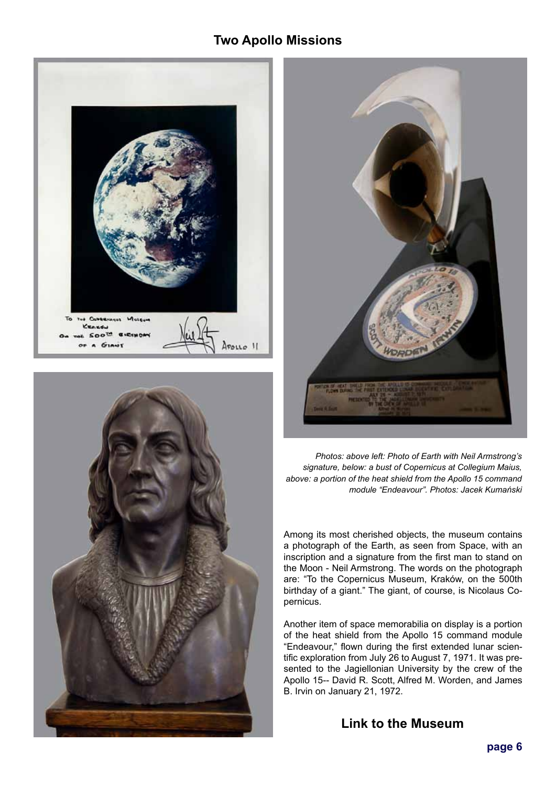# **Two Apollo Missions**







*Photos: above left: Photo of Earth with Neil Armstrong's signature, below: a bust of Copernicus at Collegium Maius, above: a portion of the heat shield from the Apollo 15 command module "Endeavour". Photos: Jacek Kumański*

Among its most cherished objects, the museum contains a photograph of the Earth, as seen from Space, with an inscription and a signature from the first man to stand on the Moon - Neil Armstrong. The words on the photograph are: "To the Copernicus Museum, Kraków, on the 500th birthday of a giant." The giant, of course, is Nicolaus Copernicus.

Another item of space memorabilia on display is a portion of the heat shield from the Apollo 15 command module "Endeavour," flown during the first extended lunar scientific exploration from July 26 to August 7, 1971. It was presented to the Jagiellonian University by the crew of the Apollo 15-- David R. Scott, Alfred M. Worden, and James B. Irvin on January 21, 1972.

**[Link to the Museum](https://maius.uj.edu.pl/en_GB/start)**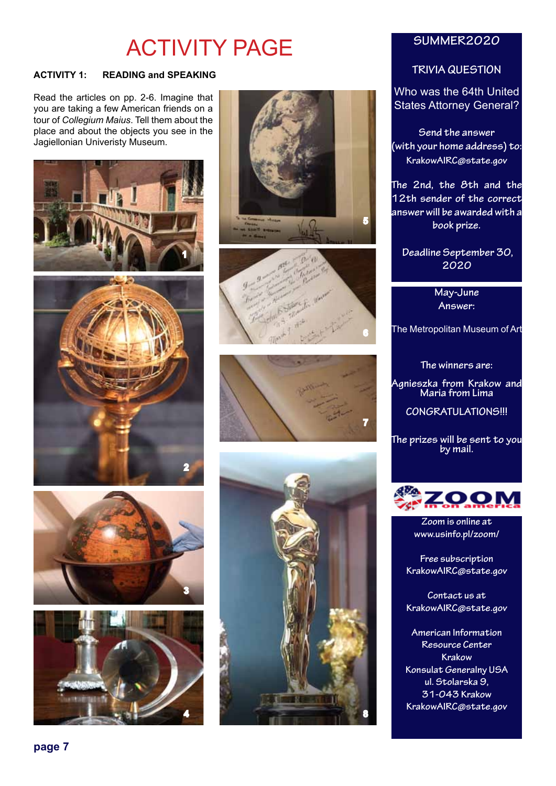# ACTIVITY PAGE

### **ACTIVITY 1: READING and SPEAKING**

Read the articles on pp. 2-6. Imagine that you are taking a few American friends on a tour of *Collegium Maius*. Tell them about the place and about the objects you see in the Jagiellonian Univeristy Museum.

















### **SUMMER2020**

#### **TRIVIA QUESTION**

Who was the 64th United States Attorney General?

**Send the answer (with your home address) to: KrakowAIRC@state.gov**

**The 2nd, the 8th and the 12th sender of the correct answer will be awarded with a book prize.**

 **Deadline September 30, 2020**

> **May-June Answer:**

The Metropolitan Museum of Art

**The winners are:**

**Agnieszka from Krakow and Maria from Lima**

**CONGRATULATIONS!!!**

**The prizes will be sent to you by mail.**



**Zoom is online at www.usinfo.pl/zoom/**

**Free subscription KrakowAIRC@state.gov**

**Contact us at KrakowAIRC@state.gov**

**American Information Resource Center Krakow Konsulat Generalny USA ul. Stolarska 9, 31-043 Krakow KrakowAIRC@state.gov**